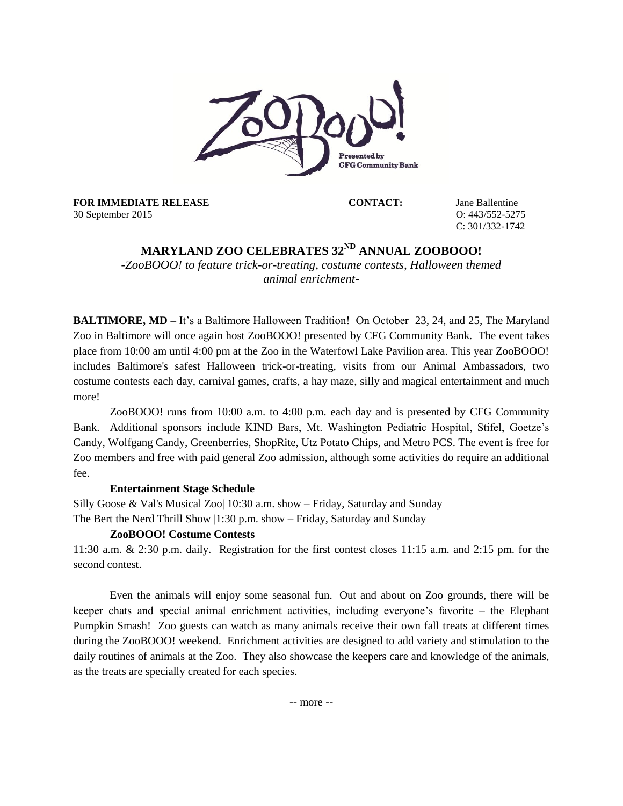

**FOR IMMEDIATE RELEASE** 30 September 2015

**CONTACT:** Jane Ballentine O: 443/552-5275 C: 301/332-1742

# **MARYLAND ZOO CELEBRATES 32 ND ANNUAL ZOOBOOO!**

*-ZooBOOO! to feature trick-or-treating, costume contests, Halloween themed animal enrichment-*

**BALTIMORE, MD** – It's a Baltimore Halloween Tradition! On October 23, 24, and 25, The Maryland Zoo in Baltimore will once again host ZooBOOO! presented by CFG Community Bank. The event takes place from 10:00 am until 4:00 pm at the Zoo in the Waterfowl Lake Pavilion area. This year ZooBOOO! includes Baltimore's safest Halloween trick-or-treating, visits from our Animal Ambassadors, two costume contests each day, carnival games, crafts, a hay maze, silly and magical entertainment and much more!

ZooBOOO! runs from 10:00 a.m. to 4:00 p.m. each day and is presented by CFG Community Bank. Additional sponsors include KIND Bars, Mt. Washington Pediatric Hospital, Stifel, Goetze's Candy, Wolfgang Candy, Greenberries, ShopRite, Utz Potato Chips, and Metro PCS. The event is free for Zoo members and free with paid general Zoo admission, although some activities do require an additional fee.

## **Entertainment Stage Schedule**

Silly Goose & Val's Musical Zoo| 10:30 a.m. show – Friday, Saturday and Sunday The Bert the Nerd Thrill Show |1:30 p.m. show – Friday, Saturday and Sunday

## **ZooBOOO! Costume Contests**

11:30 a.m. & 2:30 p.m. daily. Registration for the first contest closes 11:15 a.m. and 2:15 pm. for the second contest.

Even the animals will enjoy some seasonal fun. Out and about on Zoo grounds, there will be keeper chats and special animal enrichment activities, including everyone's favorite – the Elephant Pumpkin Smash! Zoo guests can watch as many animals receive their own fall treats at different times during the ZooBOOO! weekend. Enrichment activities are designed to add variety and stimulation to the daily routines of animals at the Zoo. They also showcase the keepers care and knowledge of the animals, as the treats are specially created for each species.

-- more --